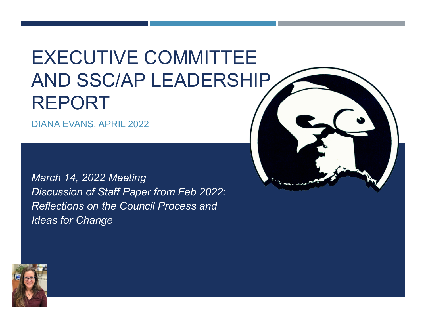# EXECUTIVE COMMITTEE AND SSC/AP LEADERSHIP REPORT

DIANA EVANS, APRIL 2022

*March 14, 2022 Meeting Discussion of Staff Paper from Feb 2022: Reflections on the Council Process and Ideas for Change*



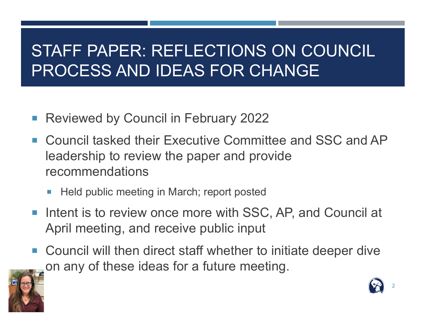#### STAFF PAPER: REFLECTIONS ON COUNCIL PROCESS AND IDEAS FOR CHANGE

- Reviewed by Council in February 2022
- Council tasked their Executive Committee and SSC and AP leadership to review the paper and provide recommendations
	- Held public meeting in March; report posted
- Intent is to review once more with SSC, AP, and Council at April meeting, and receive public input
- Council will then direct staff whether to initiate deeper dive on any of these ideas for a future meeting.

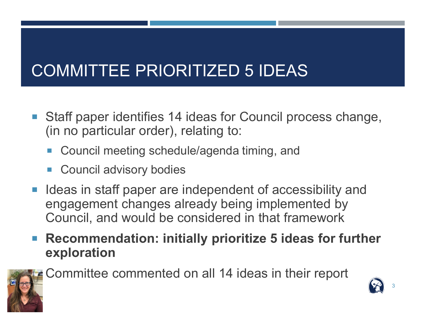### COMMITTEE PRIORITIZED 5 IDEAS

- Staff paper identifies 14 ideas for Council process change, (in no particular order), relating to:
	- Council meeting schedule/agenda timing, and
	- Council advisory bodies
- Ideas in staff paper are independent of accessibility and engagement changes already being implemented by Council, and would be considered in that framework
- Recommendation: initially prioritize 5 ideas for further **exploration**



Committee commented on all 14 ideas in their report

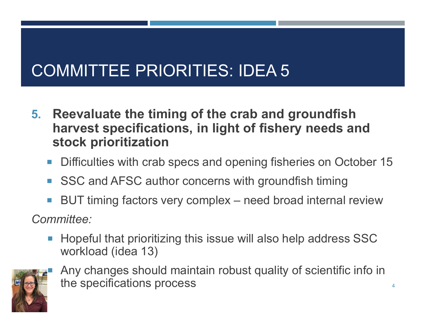### COMMITTEE PRIORITIES: IDEA 5

- **5. Reevaluate the timing of the crab and groundfish harvest specifications, in light of fishery needs and stock prioritization**
	- Difficulties with crab specs and opening fisheries on October 15
	- SSC and AFSC author concerns with groundfish timing
	- BUT timing factors very complex need broad internal review

*Committee:*

 Hopeful that prioritizing this issue will also help address SSC workload (idea 13)



 Any changes should maintain robust quality of scientific info in the specifications process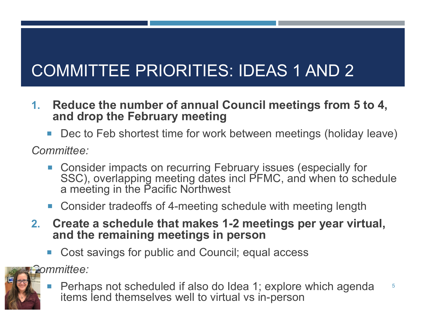## COMMITTEE PRIORITIES: IDEAS 1 AND 2

- **1. Reduce the number of annual Council meetings from 5 to 4, and drop the February meeting**
	- Dec to Feb shortest time for work between meetings (holiday leave)

*Committee:*

- Consider impacts on recurring February issues (especially for SSC), overlapping meeting dates incl PFMC, and when to schedule a meeting in the Pacific Northwest
- Consider tradeoffs of 4-meeting schedule with meeting length
- **2. Create a schedule that makes 1-2 meetings per year virtual, and the remaining meetings in person**
	- Cost savings for public and Council; equal access

*Committee:*



**Perhaps not scheduled if also do Idea 1; explore which agenda** items lend themselves well to virtual vs in-person 5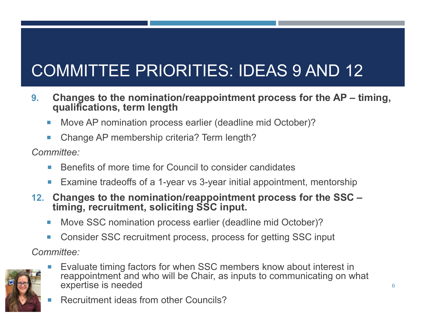# COMMITTEE PRIORITIES: IDEAS 9 AND 12

- **9. Changes to the nomination/reappointment process for the AP – timing, qualifications, term length**
	- Move AP nomination process earlier (deadline mid October)?
	- Change AP membership criteria? Term length?

*Committee:*

- Benefits of more time for Council to consider candidates
- Examine tradeoffs of a 1-year vs 3-year initial appointment, mentorship
- **12. Changes to the nomination/reappointment process for the SSC – timing, recruitment, soliciting SSC input.**
	- Move SSC nomination process earlier (deadline mid October)?
	- Consider SSC recruitment process, process for getting SSC input

*Committee:*



- Evaluate timing factors for when SSC members know about interest in reappointment and who will be Chair, as inputs to communicating on what expertise is needed
	- Recruitment ideas from other Councils?